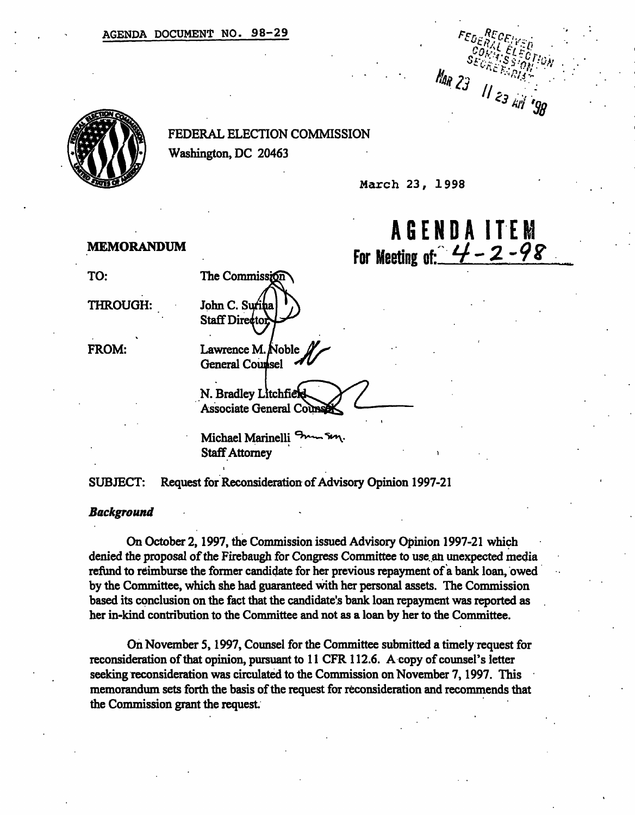AGENDA DOCUMENT NO. 98-29



FEDERAL ELECTION COMMISSION Washington, DC 20463

March 23, 1998

# AGEND A ITE M For Meeting of:  $4 - 2 - 98$

Man 23 11 23 Ail 198

MEMORANDUM

TO:

THROUGH:

FROM:

Lawrence M. Noble General Counsel

The Commission

John C. S Staff Director

N. Bradley Litchfield Associate General Co

Michael Marinelli<sup>ch</sup> Staff Attorney

SUBJECT: Request for Reconsideration of Advisory Opinion 1997-21

#### Background

On October 2,1997, the Commission issued Advisory Opinion 1997-21 which denied the proposal of the Firebaugh for Congress Committee to use. an unexpected media refund to reimburse the former candidate for her previous repayment of a bank loan, owed by the Committee, which she had guaranteed with her personal assets. The Commission based its conclusion on the fact that the candidate's bank loan repayment was reported as her in-kind contribution to the Committee and not as a loan by her to the Committee.

On November 5,1997, Counsel for the Committee submitted a timely request for reconsideration of that opinion, pursuant to 11 CFR 112.6. A copy of counsel's letter seeking reconsideration was circulated to the Commission on November 7,1997. This memorandum sets forth the basis of the request for reconsideration and recommends that the Commission grant the request.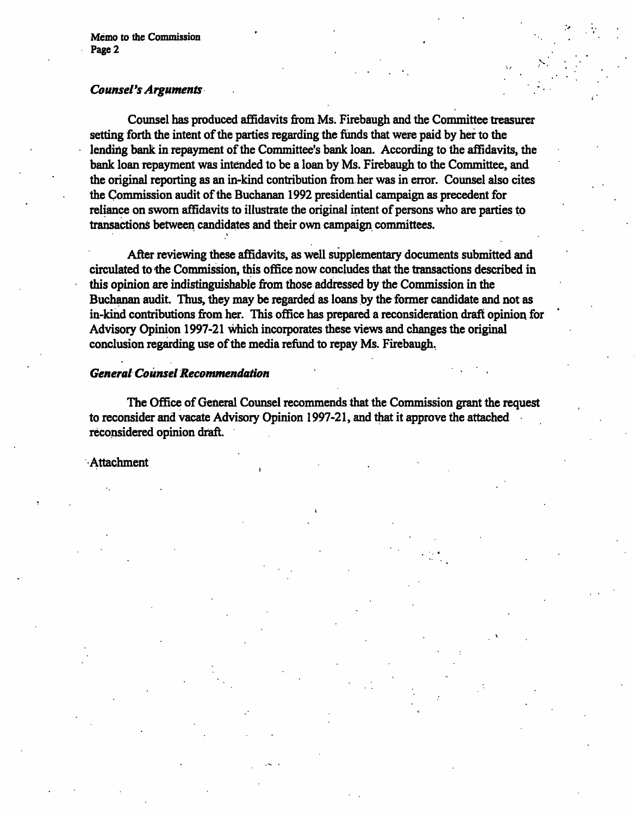## Counsel's Arguments '

Counsel has produced affidavits from Ms. Firebaugh and the Committee treasurer setting forth the intent of the parties regarding the funds that were paid by her to the lending bank in repayment of the Committee's bank loan. According to the affidavits, the bank loan repayment was intended to be a loan by Ms. Firebaugh to the Committee, and the original reporting as an in-kind contribution from her was in error. Counsel also cites the Commission audit of the Buchanan 1992 presidential campaign as precedent for reliance on sworn affidavits to illustrate the original intent of persons who are parties to transactions between candidates and their own campaign committees.

After reviewing these affidavits, as well supplementary documents submitted and circulated to the Commission, this office now concludes that the transactions described in this opinion are indistinguishable from those addressed by the Commission in the Buchanan audit. Thus, they may be regarded as loans by the former candidate and not as in-kind contributions from her. This office has prepared a reconsideration draft opinion for Advisory Opinion 1997-21 which incorporates these views and changes the original conclusion regarding use of the media refund to repay Ms. Firebaugh.

## General Counsel Recommendation

•i

The Office of General Counsel recommends that the Commission grant the request to reconsider and vacate Advisory Opinion 1997-21, and that it approve the attached reconsidered opinion draft.

#### Attachment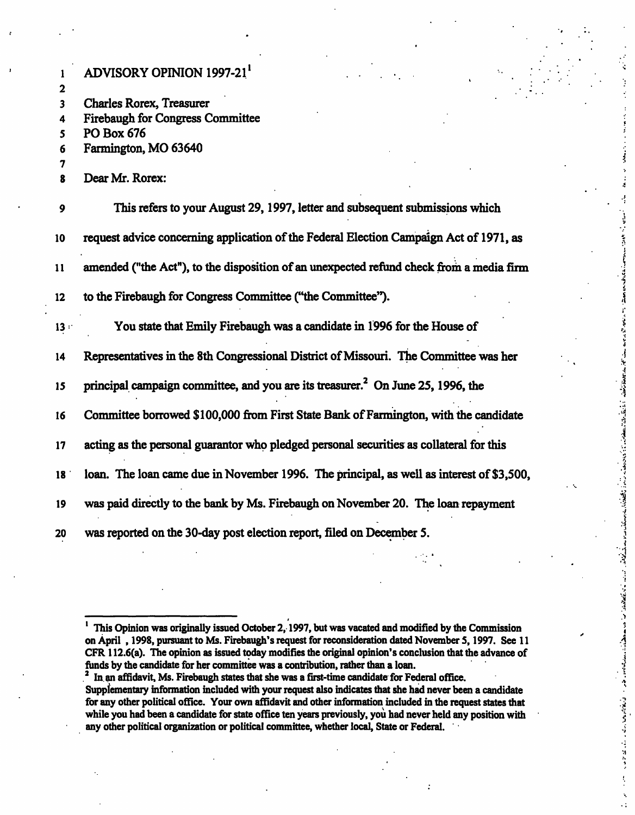|                 | <b>ADVISORY OPINION 1997-21'</b>                                                                         |
|-----------------|----------------------------------------------------------------------------------------------------------|
| 2               |                                                                                                          |
| 3               | <b>Charles Rorex, Treasurer</b>                                                                          |
| 4<br>5          | <b>Firebaugh for Congress Committee</b><br>PO Box 676                                                    |
| 6               | Farmington, MO 63640                                                                                     |
| 7               |                                                                                                          |
| 8               | Dear Mr. Rorex:                                                                                          |
| 9               | This refers to your August 29, 1997, letter and subsequent submissions which                             |
| 10              | request advice concerning application of the Federal Election Campaign Act of 1971, as                   |
| 11              | amended ("the Act"), to the disposition of an unexpected refund check from a media firm                  |
| 12              | to the Firebaugh for Congress Committee ("the Committee").                                               |
| 13:             | You state that Emily Firebaugh was a candidate in 1996 for the House of                                  |
| 14              | Representatives in the 8th Congressional District of Missouri. The Committee was her                     |
| 15              | ومار زمان<br>principal campaign committee, and you are its treasurer. <sup>2</sup> On June 25, 1996, the |
| 16              | Committee borrowed \$100,000 from First State Bank of Farmington, with the candidate                     |
| 17              | acting as the personal guarantor who pledged personal securities as collateral for this                  |
| 18 <sup>1</sup> | loan. The loan came due in November 1996. The principal, as well as interest of \$3,500,                 |
| 19              | المناسبات<br>was paid directly to the bank by Ms. Firebaugh on November 20. The loan repayment           |
| 20              | was reported on the 30-day post election report, filed on December 5.                                    |

 $\mathcal{L}(\mathcal{L}(\mathcal{L}(\mathcal{L}(\mathcal{L}(\mathcal{L}(\mathcal{L}(\mathcal{L}(\mathcal{L}(\mathcal{L}(\mathcal{L}(\mathcal{L}(\mathcal{L}(\mathcal{L}(\mathcal{L}(\mathcal{L}(\mathcal{L}(\mathcal{L}(\mathcal{L}(\mathcal{L}(\mathcal{L}(\mathcal{L}(\mathcal{L}(\mathcal{L}(\mathcal{L}(\mathcal{L}(\mathcal{L}(\mathcal{L}(\mathcal{L}(\mathcal{L}(\mathcal{L}(\mathcal{L}(\mathcal{L}(\mathcal{L}(\mathcal{L}(\mathcal{L}(\mathcal{$ 

 $\ddot{\phantom{a}}$ 

1 This Opinion was originally issued October 2,1997, but was vacated and modified by the Commission on April , 1998, pursuant to Ms. Firebaugh's request for reconsideration dated November 5,1997. See 11 CFR112.6(a). The opinion as issued today modifies the original opinion's conclusion that the advance of funds by the candidate for her committee was a contribution, rather than a loan.

<sup>2</sup> In an affidavit, Ms. Firebaugh states that she was a first-time candidate for Federal office. Supplementary information included with your request also indicates mat she had never been a candidate for any other political office. Your own affidavit and other information included in the request states that while you had been a candidate for state office ten years previously, you had never held any position with any other political organization or political committee, whether local, State or Federal.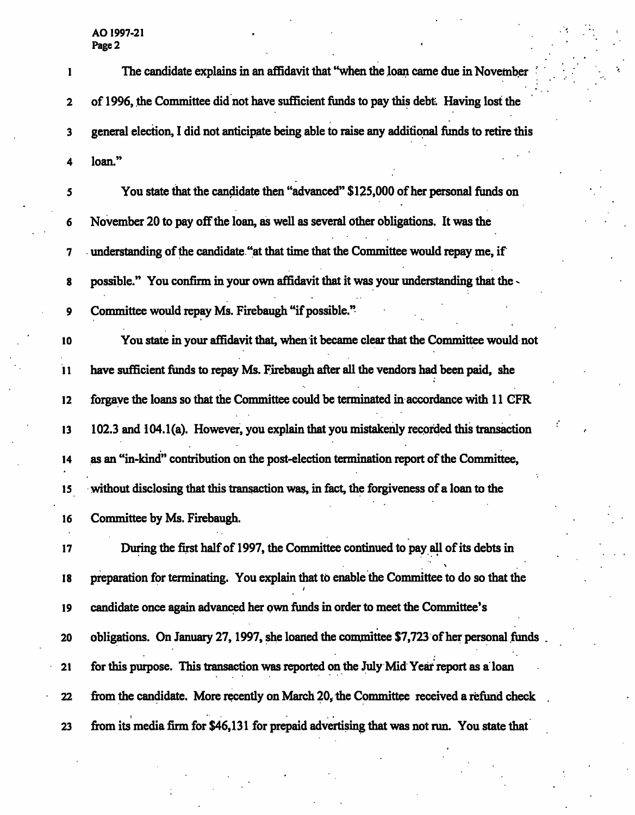AO 1997-21 Page 2

|                 | The candidate explains in an affidavit that "when the loan came due in November                |
|-----------------|------------------------------------------------------------------------------------------------|
| $\mathbf{2}$    | of 1996, the Committee did not have sufficient funds to pay this debt. Having lost the         |
| 3               | general election, I did not anticipate being able to raise any additional funds to retire this |
| 4               | loan."                                                                                         |
| 5               | You state that the candidate then "advanced" \$125,000 of her personal funds on                |
| 6               | November 20 to pay off the loan, as well as several other obligations. It was the              |
| 7               | understanding of the candidate "at that time that the Committee would repay me, if             |
| 8               | possible." You confirm in your own affidavit that it was your understanding that the -         |
| 9               | Committee would repay Ms. Firebaugh "if possible."                                             |
| 10              | You state in your affidavit that, when it became clear that the Committee would not            |
| $\overline{11}$ | have sufficient funds to repay Ms. Firebaugh after all the vendors had been paid, she          |
| 12              | forgave the loans so that the Committee could be terminated in accordance with 11 CFR          |
| 13              | 102.3 and 104.1(a). However, you explain that you mistakenly recorded this transaction         |
| 14              | as an "in-kind" contribution on the post-election termination report of the Committee,         |
| 15              | without disclosing that this transaction was, in fact, the forgiveness of a loan to the        |
| 16              | Committee by Ms. Firebaugh.                                                                    |
| 17              | During the first half of 1997, the Committee continued to pay all of its debts in              |
| 18              | preparation for terminating. You explain that to enable the Committee to do so that the        |
| 19              | candidate once again advanced her own funds in order to meet the Committee's                   |
| 20              | obligations. On January 27, 1997, she loaned the committee \$7,723 of her personal funds.      |
| 21              | for this purpose. This transaction was reported on the July Mid Year report as a loan          |
| 22              | from the candidate. More recently on March 20, the Committee received a refund check           |
| 23              | from its media firm for \$46,131 for prepaid advertising that was not run. You state that      |

 $\overline{\phantom{a}}$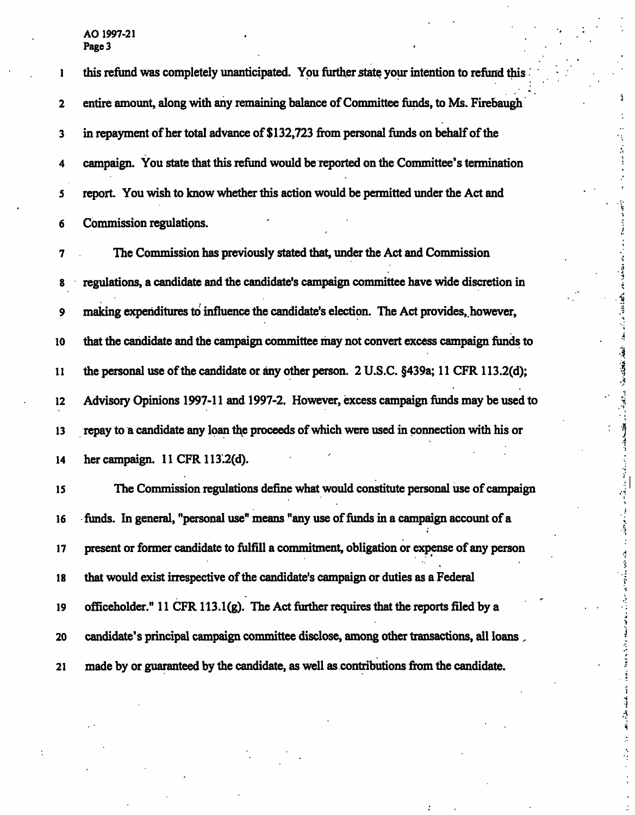$\mathsf{AO}$  1997-21  $\qquad \qquad .$ Page 3

1 this refund was completely unanticipated. You further state your intention to refund this 2 entire amount, along with any remaining balance of Committee funds, to Ms. Firebaugh 3 in repayment of her total advance of \$ 132,723 from personal funds on behalf of the 4 campaign. You state that this refund would be reported on the Committee's termination 5 report. You wish to know whether this action would be permitted under the Act and 6 Commission regulations. ' 7 The Commission has previously stated that, under the Act and Commission 8 regulations, a candidate and the candidate's campaign committee have wide discretion in 9 making expenditures to influence the candidate's election. The Act provides, however, 10 that the candidate and the campaign committee may not convert excess campaign funds to 11 the personal use of the candidate or any other person. 2 U.S.C. §439a; 11 CFR 113.2(d); 12 Advisory Opinions 1997-11 and 1997-2. However, excess campaign funds may be used to 13 repay to a candidate any loan the proceeds of which were used in connection with his or 14 her campaign. 11 CFR 113.2(d). 15 The Commission regulations define what would constitute personal use of campaign 16 funds. In general, "personal use" means "any use of funds in a campaign account of a 17 present or former candidate to fulfill a commitment, obligation or expense of any person 18 that would exist irrespective of the candidate's campaign or duties as a Federal 19 officeholder." 11 CFR 113.1(g). The Act further requires that the reports filed by a 20 candidate's principal campaign committee disclose, among other transactions, all loans , 21 made by or guaranteed by the candidate, as well as contributions from the candidate.

 $4.3993$ 

**The State State** 

and the local district in the contract of

医皮肤皮炎 医心包结核

医皮质性骨折 医假性血管 医血管炎

ومستقيله الأستانية والمستواتية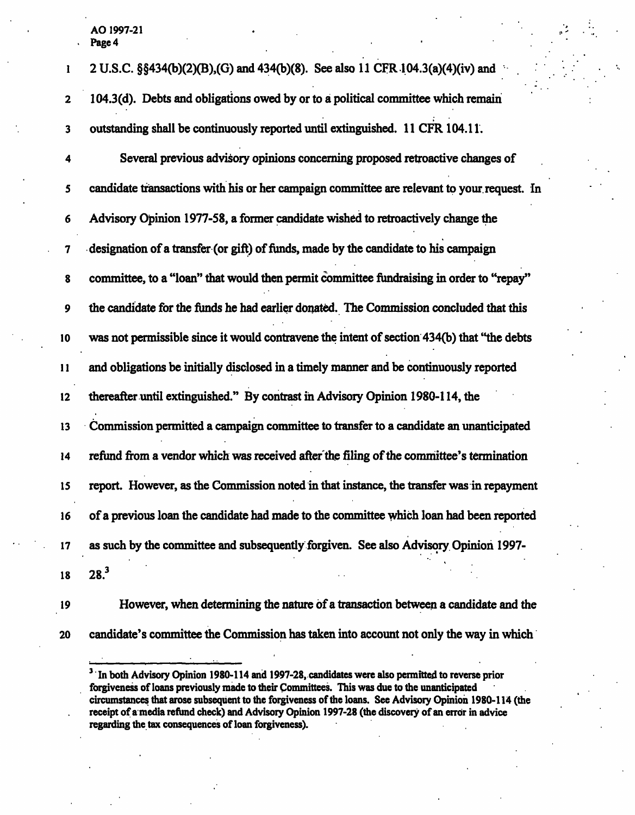AO 1997-21<br>Page 4 **Page 4** • **Page 4** • **Page 4** • **Page 4** • **Page 4** • **Page 4** • **Page 4** • **Page 4** • **Page 4** • **Page 4** • **Page 4** • **Page 4** • **Page 4** • **Page 4** • **Page 4** • **Page 4** • **Page 4** • **Page 4** • **Page 4** • **Page 4** • **P** 

| 1             | 2 U.S.C. §§434(b)(2)(B),(G) and 434(b)(8). See also 11 CFR 104.3(a)(4)(iv) and             |
|---------------|--------------------------------------------------------------------------------------------|
| $\mathbf{2}$  | 104.3(d). Debts and obligations owed by or to a political committee which remain           |
| 3             | outstanding shall be continuously reported until extinguished. 11 CFR 104.11.              |
| 4             | Several previous advisory opinions concerning proposed retroactive changes of              |
| 5             | candidate transactions with his or her campaign committee are relevant to your request. In |
| 6             | Advisory Opinion 1977-58, a former candidate wished to retroactively change the            |
| 7             | designation of a transfer (or gift) of funds, made by the candidate to his campaign        |
| 8             | committee, to a "loan" that would then permit committee fundraising in order to "repay"    |
| 9             | the candidate for the funds he had earlier donated. The Commission concluded that this     |
| 10            | was not permissible since it would contravene the intent of section 434(b) that "the debts |
| $\mathbf{11}$ | and obligations be initially disclosed in a timely manner and be continuously reported     |
| $12 \,$       | thereafter until extinguished." By contrast in Advisory Opinion 1980-114, the              |
| 13            | Commission permitted a campaign committee to transfer to a candidate an unanticipated      |
| 14            | refund from a vendor which was received after the filing of the committee's termination    |
| 15            | report. However, as the Commission noted in that instance, the transfer was in repayment   |
| 16            | of a previous loan the candidate had made to the committee which loan had been reported    |
| 17            | as such by the committee and subsequently forgiven. See also Advisory Opinion 1997-        |
| 18            | 28. <sup>3</sup>                                                                           |
|               |                                                                                            |

19 However, when determining the nature of a transaction between a candidate and the 20 candidate's committee the Commission has taken into account not only the way in which

<sup>&</sup>lt;sup>3</sup> In both Advisory Opinion 1980-114 and 1997-28, candidates were also permitted to reverse prior forgiveness of loans previously made to their Committees. This was due to the unanticipated circumstances that arose subsequent to the forgiveness of the loans. See Advisory Opinion 1980-114 (the receipt of a media refund check) and Advisory Opinion 1997-28 (the discovery of an error in advice regarding the tax consequences of loan forgiveness). .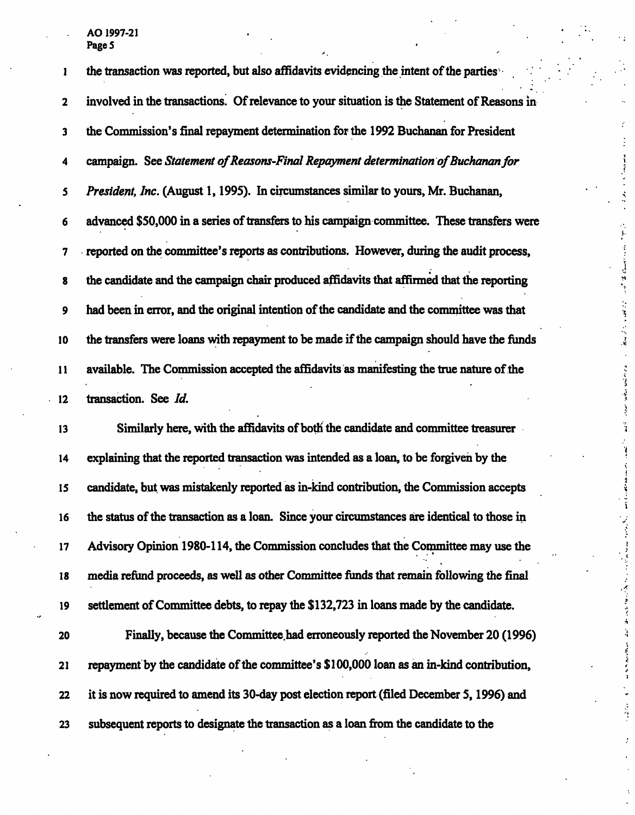. AO1997-21 . Page 5

1 the transaction was reported, but also affidavits evidencing the intent of the parties 2 involved in the transactions. Of relevance to your situation is the Statement of Reasons in 3 the Commission's final repayment determination for the 1992 Buchanan for President 4 campaign. See Statement of Reasons-Final Repayment determination of Buchanan for 5 President, Inc. (August 1,1995). In circumstances similar to yours, Mr. Buchanan, 6 advanced \$50,000 in a series of transfers to his campaign committee. These transfers were 7 reported on the committee's reports as contributions. However, during the audit process, 8 the candidate and the campaign chair produced affidavits that affirmed that the reporting 9 had been in error, and the original intention of the candidate and the committee was that 10 the transfers were loans with repayment to be made if the campaign should have the funds 11 available. The Commission accepted the affidavits as manifesting the true nature of the 12 transaction. See Id. 13 Similarly here, with the affidavits of both the candidate and committee treasurer 14 explaining that the reported transaction was intended as a loan, to be forgiven by the 15 candidate, but was mistakenly reported as in-kind contribution, the Commission accepts 16 the status of the transaction as a loan. Since your circumstances are identical to those in 17 Advisory Opinion 1980-114, the Commission concludes that the Committee may use the 18 media refund proceeds, as well as other Committee funds that remain following the final 19 settlement of Committee debts, to repay the \$ 132,723 in loans made by the candidate. 20 Finally, because the Committee.had erroneously reported the November 20 (1996) 21 repayment by the candidate of the committee's \$ 100,000 loan as an in-kind contribution, 22 it is now required to amend its 30-day post election report (filed December 5,1996) and 23 subsequent reports to designate the transaction as a loan from the candidate to the

 $\bullet$  . The set of the set of the set of the set of the set of the set of the set of the set of the set of the set of the set of the set of the set of the set of the set of the set of the set of the set of the set of the s

and the contract of the contract of

化重力 医金属菌素

医马克里耳氏法检血管炎 医骨骨骨